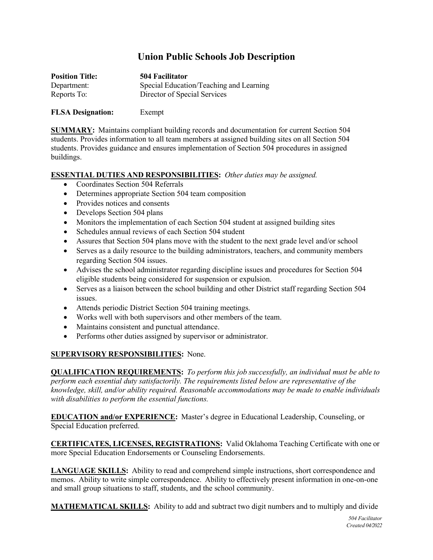## **Union Public Schools Job Description**

| <b>Position Title:</b> | 504 Facilitator                         |
|------------------------|-----------------------------------------|
| Department:            | Special Education/Teaching and Learning |
| Reports To:            | Director of Special Services            |

## **FLSA Designation:** Exempt

**SUMMARY:** Maintains compliant building records and documentation for current Section 504 students. Provides information to all team members at assigned building sites on all Section 504 students. Provides guidance and ensures implementation of Section 504 procedures in assigned buildings.

## **ESSENTIAL DUTIES AND RESPONSIBILITIES:** *Other duties may be assigned.*

- Coordinates Section 504 Referrals
- Determines appropriate Section 504 team composition
- Provides notices and consents
- Develops Section 504 plans
- Monitors the implementation of each Section 504 student at assigned building sites
- Schedules annual reviews of each Section 504 student
- Assures that Section 504 plans move with the student to the next grade level and/or school
- Serves as a daily resource to the building administrators, teachers, and community members regarding Section 504 issues.
- Advises the school administrator regarding discipline issues and procedures for Section 504 eligible students being considered for suspension or expulsion.
- Serves as a liaison between the school building and other District staff regarding Section 504 issues.
- Attends periodic District Section 504 training meetings.
- Works well with both supervisors and other members of the team.
- Maintains consistent and punctual attendance.
- Performs other duties assigned by supervisor or administrator.

## **SUPERVISORY RESPONSIBILITIES:** None.

**QUALIFICATION REQUIREMENTS:** *To perform this job successfully, an individual must be able to perform each essential duty satisfactorily. The requirements listed below are representative of the knowledge, skill, and/or ability required. Reasonable accommodations may be made to enable individuals with disabilities to perform the essential functions.*

**EDUCATION and/or EXPERIENCE:** Master's degree in Educational Leadership, Counseling, or Special Education preferred.

**CERTIFICATES, LICENSES, REGISTRATIONS:** Valid Oklahoma Teaching Certificate with one or more Special Education Endorsements or Counseling Endorsements.

**LANGUAGE SKILLS:** Ability to read and comprehend simple instructions, short correspondence and memos. Ability to write simple correspondence. Ability to effectively present information in one-on-one and small group situations to staff, students, and the school community.

**MATHEMATICAL SKILLS:** Ability to add and subtract two digit numbers and to multiply and divide